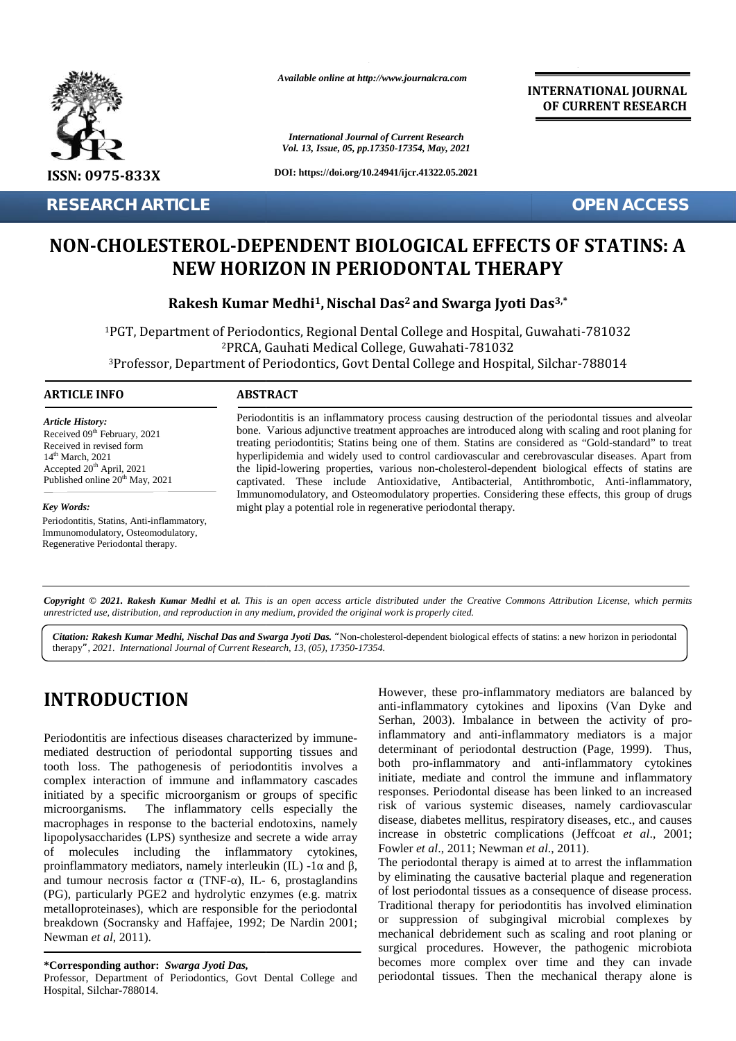

**RESEARCH ARTICLE OPEN ACCESS**

*Available online at http://www.journalcra.com*

*International Journal of Current Research Vol. 13, Issue, 05, pp.17350-17354, May, 2021*

**DOI: https://doi.org/10.24941/ijcr.41322.05.2021**

**INTERNATIONAL JOURNAL OF CURRENT RESEARCH**

# **NON-CHOLESTEROL-DEPENDENT BIOLOGICAL EFFECTS OF STATINS: A NEW HORIZON IN PERIODONTAL THERAPY HORIZON IN PERIODONTAL THERAPY**

 $\mathbf{R}$ akesh Kumar Medhi<sup>1</sup>, Nischal Das<sup>2</sup> and Swarga Jyoti Das<sup>3,\*</sup>

<sup>1</sup>PGT, Department of Periodontics, Regional Dental College and Hospital, Guwahati-781032 <sup>2</sup>PRCA, Gauhati Medical College, Guwahati-781032 PGT, Department of Periodontics, Regional Dental College and Hospital, Guwahati-781032<br><sup>2</sup>PRCA, Gauhati Medical College, Guwahati-781032<br><sup>3</sup>Professor, Department of Periodontics, Govt Dental College and Hospital, Silchar-7 **RESEARCH ARTICLE<br>
NON-CHOLESTEROL-DEPENDENT BIOLOGICAL EFFECTS OF STA<br>
REW HORIZON IN PERIODONTAL THERAPY<br>
Rakesh Kumar Medhi<sup>1</sup>, Nischal Das<sup>2</sup> and Swarga Jyoti Das<sup>3,\*</sup><br>
<sup>2</sup>Picco, Suahati <sup>7810</sup><br>
<sup>2</sup>Picco, Guahati <sup>7810**</sup>

#### **ARTICLE INFO ABSTRACT ARTICLE ABSTRACT**

*Article History: Article History:* Received  $09<sup>th</sup>$  February, 2021 Received U. February, 2021<br>Received in revised form  $14<sup>th</sup> March, 2021$ Accepted  $20<sup>th</sup>$  April, 2021 th Accepted 20<sup>th</sup> April, 2021<br>Published online 20<sup>th</sup> May, 2021

*Key Words:*

Periodontitis, Statins, Anti-inflammatory, Immunomodulatory, Osteomodulatory, Regenerative Periodontal therapy. Regenerative Periodontal therapy.

Periodontitis is an inflammatory process causing destruction of the periodontal tissues and alveolar bone. Various adjunctive treatment approaches are introduced along with scaling and root planing for treating periodontitis; Statins being one of them. Statins are considered as "Gold-standard" to treat hyperlipidemia and widely used to control cardiovascular and cerebrovascular diseases. Apart from the lipid-lowering properties, various non-cholesterol-dependent biological effects of statins are captivated. These include Antioxidative, Antibacterial, Antithrombotic, Anti-inflammatory, Immunomodulatory, and Osteomodulatory properties. Considering these effects, this group of drugs might play a potential role in regenerative periodontal therapy. Periodontitis is an inflammatory process causing destruction of the periodontal tissues and<br>bone. Various adjunctive treatment approaches are introduced along with scaling and root pla<br>treating periodontitis; Statins being hyperlipidemia and widely used to control cardiovascular and cerebrovascular diseases. Apthe lipid-lowering properties, various non-cholesterol-dependent biological effects of staceptivated. These include Antioxidative, An *International* Islam and *International Journal Kinternational I*, 2021<br> *International contracting period hyperlipidemia the lipid-lower captivated. The lipid-lower captivated. The Immunomodula might play a post second* 

**Copyright © 2021. Rakesh Kumar Medhi et al.** This is an open access article distributed under the Creative Commons Attribution License, which permits<br>unrestricted use, distribution, and reproduction in any medium, provide *unrestricted use,distribution, and reproduction in any medium, provided the original work is properly cited.*

Citation: Rakesh Kumar Medhi, Nischal Das and Swarga Jyoti Das. "Non-cholesterol-dependent biological effects of statins: a new horizon in periodontal therapy*", 2021. International Journal of Current Research, 13, (05), 17350-17354.*

# **INTRODUCTION INTRODUCTION**

Periodontitis are infectious diseases characterized by immunemediated destruction of periodontal supporting tissues and tooth loss. The pathogenesis of periodontitis involves a complex interaction of immune and inflammatory cascades initiated by a specific microorganism or groups of specific microorganisms. The inflammatory cells especially the macrophages in response to the bacterial endotoxins, namely lipopolysaccharides (LPS) synthesize and secrete a wide array of molecules including the inflammatory cytokines, mediated destruction of periodontal supporting tissues and<br>tooth loss. The pathogenesis of periodontitis involves a<br>complex interaction of immune and inflammatory cascades<br>initiated by a specific microorganism or groups of and tumour necrosis factor (TNF-), IL- 6, prostaglandins by (PG), particularly PGE2 and hydrolytic enzymes (e.g. matrix metalloproteinases), which are responsible for the periodontal (PG), particularly PGE2 and hydrolytic enzymes (e.g. matrix metalloproteinases), which are responsible for the periodontal breakdown (Socransky and Haffajee, 1992; De Nardin 2001; Newman *et al*, 2011). Newman*al*, 2011).**INTRODUCTION**<br>
However, these pro-inflamentatory endicates and linearing equilibrations are infectious diseases characterized by immune-<br>
Periodontitis are infectious diseases characterized by immune-<br>
mediated destructi

**\*Corresponding author:** *Swarga Jyoti Das,* **\*Corresponding** 

Professor, Department of Periodontics, Govt Dental College and Hospital, Silchar-788014.

However, these pro-inflammatory mediators are balanced by anti-inflammatory cytokines and lipoxins (Van Dyke and Serhan, 2003). Imbalance in between the activity of proinflammatory and anti-inflammatory mediators is a major determinant of periodontal destruction (Page, 1999). Thus, both pro-inflammatory and anti-inflammatory cytokines initiate, mediate and control the immune and inflammatory responses. Periodontal disease has been linked to an increased risk of various systemic diseases, namely cardiovascular disease, diabetes mellitus, respiratory diseases, etc., and causes increase in obstetric complications (Jeffcoat *et al*., 2001; Fowler *et al.*, 2011; Newman *et al.*, 2011). mmatory cytokines and lipoxins (Van Dyke and 2003). Imbalance in between the activity of pro-<br>tory and anti-inflammatory mediators is a major<br>ant of periodontal destruction (Page, 1999). Thus,<br>o-inflammatory and anti-infla **EXERE SEAL ASSOCIETY AND ANTIFICATE SEAL ASSOCIETY AND ANTIFICATE SEAL ASSOCIETY AND ANTIFICATE SEAL ASSOCIETY AND ANTIFICATE SEAL AND ANTIFICATE SEAL AND ANTIFICATE SEAL AND ANTIFICATE SEAL AND ANTIFICATE SEAL AND ARRES** 

The periodontal therapy is aimed at to arrest the inflammation by eliminating the causative bacterial plaque and regeneration of lost periodontal tissues as a consequence of disease process. Traditional therapy for periodontitis has involved elimination or suppression of subgingival microbial complexes by mechanical debridement such as scaling and root planing or surgical procedures. However, the pathogenic microbiota becomes more complex over time and they can invade periodontal tissues. Then the mechanical therapy alone is riodontal therapy is aimed at to arrest the inflaminating the causative bacterial plaque and rege periodontal tissues as a consequence of disease ediate and control the immune and inflammatory<br>Periodontal disease has been linked to an increased<br>arious systemic diseases, namely cardiovascular<br>abetes mellitus, respiratory diseases, etc., and causes<br>n obstetric complic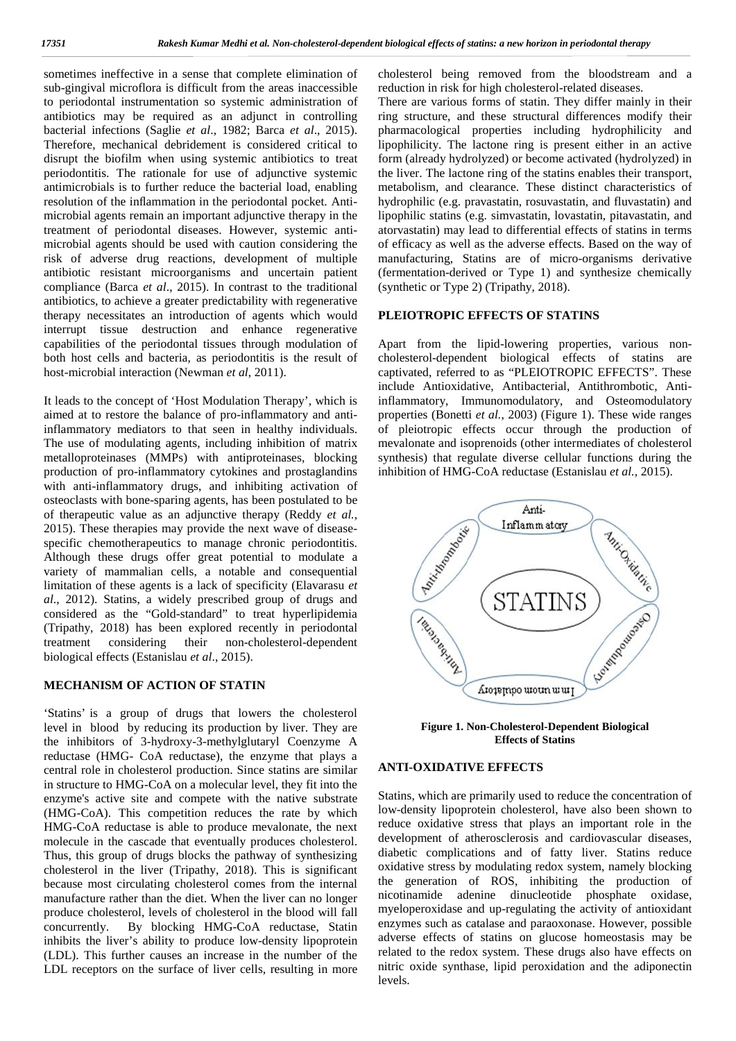sometimes ineffective in a sense that complete elimination of sub-gingival microflora is difficult from the areas inaccessible to periodontal instrumentation so systemic administration of antibiotics may be required as an adjunct in controlling bacterial infections (Saglie *et al*., 1982; Barca *et al*., 2015). Therefore, mechanical debridement is considered critical to disrupt the biofilm when using systemic antibiotics to treat periodontitis. The rationale for use of adjunctive systemic antimicrobials is to further reduce the bacterial load, enabling resolution of the inflammation in the periodontal pocket. Anti microbial agents remain an important adjunctive therapy in the treatment of periodontal diseases. However, systemic anti microbial agents should be used with caution considering the risk of adverse drug reactions, development of multiple antibiotic resistant microorganisms and uncertain patient compliance (Barca *et al*., 2015). In contrast to the traditional antibiotics, to achieve a greater predictability with regenerative therapy necessitates an introduction of agents which would interrupt tissue destruction and enhance regenerative capabilities of the periodontal tissues through modulation of both host cells and bacteria, as periodontitis is the result of host-microbial interaction (Newman *et al*, 2011).

It leads to the concept of 'Host Modulation Therapy', which is aimed at to restore the balance of pro-inflammatory and antiinflammatory mediators to that seen in healthy individuals. The use of modulating agents, including inhibition of matrix metalloproteinases (MMPs) with antiproteinases, blocking production of pro-inflammatory cytokines and prostaglandins with anti-inflammatory drugs, and inhibiting activation of osteoclasts with bone-sparing agents, has been postulated to be of therapeutic value as an adjunctive therapy (Reddy *et al.,* 2015). These therapies may provide the next wave of disease specific chemotherapeutics to manage chronic periodontitis. Although these drugs offer great potential to modulate a variety of mammalian cells, a notable and consequential limitation of these agents is a lack of specificity (Elavarasu *et al*., 2012). Statins, a widely prescribed group of drugs and considered as the "Gold-standard" to treat hyperlipidemia (Tripathy, 2018) has been explored recently in periodontal treatment considering their non-cholesterol-dependent biological effects (Estanislau *et al*., 2015).

#### **MECHANISM OF ACTION OF STATIN**

'Statins' is a group of drugs that lowers the cholesterol level in blood by reducing its production by liver. They are the inhibitors of 3-hydroxy-3-methylglutaryl Coenzyme A reductase (HMG- CoA reductase), the enzyme that plays a central role in cholesterol production. Since statins are similar in structure to HMG-CoA on a molecular level, they fit into the enzyme's active site and compete with the native substrate (HMG-CoA). This competition reduces the rate by which HMG-CoA reductase is able to produce mevalonate, the next molecule in the cascade that eventually produces cholesterol. Thus, this group of drugs blocks the pathway of synthesizing cholesterol in the liver (Tripathy, 2018). This is significant because most circulating cholesterol comes from the internal manufacture rather than the diet. When the liver can no longer produce cholesterol, levels of cholesterol in the blood will fall concurrently. By blocking HMG-CoA reductase, Statin inhibits the liver's ability to produce low-density lipoprotein (LDL). This further causes an increase in the number of the LDL receptors on the surface of liver cells, resulting in more

cholesterol being removed from the bloodstream and a reduction in risk for high cholesterol-related diseases. There are various forms of statin. They differ mainly in their ring structure, and these structural differences modify their pharmacological properties including hydrophilicity and lipophilicity. The lactone ring is present either in an active form (already hydrolyzed) or become activated (hydrolyzed) in the liver. The lactone ring of the statins enables their transport, metabolism, and clearance. These distinct characteristics of hydrophilic (e.g. pravastatin, rosuvastatin, and fluvastatin) and lipophilic statins (e.g. simvastatin, lovastatin, pitavastatin, and atorvastatin) may lead to differential effects of statins in terms of efficacy as well as the adverse effects. Based on the way of manufacturing, Statins are of micro-organisms derivative (fermentation-derived or Type 1) and synthesize chemically (synthetic or Type 2) (Tripathy, 2018).

#### **PLEIOTROPIC EFFECTS OF STATINS**

Apart from the lipid-lowering properties, various non cholesterol-dependent biological effects of statins are captivated, referred to as "PLEIOTROPIC EFFECTS". These include Antioxidative, Antibacterial, Antithrombotic, Antiinflammatory, Immunomodulatory, and Osteomodulatory properties (Bonetti *et al.*, 2003) (Figure 1). These wide ranges of pleiotropic effects occur through the production of mevalonate and isoprenoids (other intermediates of cholesterol synthesis) that regulate diverse cellular functions during the inhibition of HMG-CoA reductase (Estanislau *et al.,* 2015).



**Figure 1. Non-Cholesterol-Dependent Biological Effects of Statins**

### **ANTI-OXIDATIVE EFFECTS**

Statins, which are primarily used to reduce the concentration of low-density lipoprotein cholesterol, have also been shown to reduce oxidative stress that plays an important role in the development of atherosclerosis and cardiovascular diseases, diabetic complications and of fatty liver. Statins reduce oxidative stress by modulating redox system, namely blocking the generation of ROS, inhibiting the production of nicotinamide adenine dinucleotide phosphate oxidase, myeloperoxidase and up-regulating the activity of antioxidant enzymes such as catalase and paraoxonase. However, possible adverse effects of statins on glucose homeostasis may be related to the redox system. These drugs also have effects on nitric oxide synthase, lipid peroxidation and the adiponectin levels.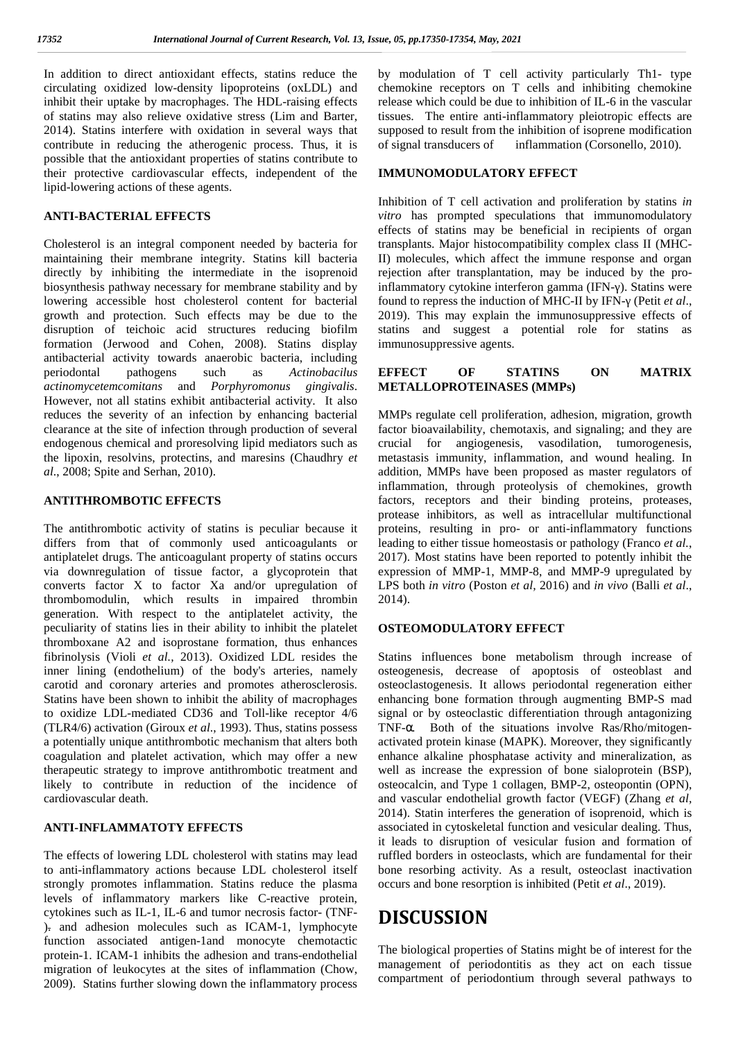In addition to direct antioxidant effects, statins reduce the circulating oxidized low-density lipoproteins (oxLDL) and inhibit their uptake by macrophages. The HDL-raising effects of statins may also relieve oxidative stress (Lim and Barter, 2014). Statins interfere with oxidation in several ways that contribute in reducing the atherogenic process. Thus, it is of signal transducers of possible that the antioxidant properties of statins contribute to their protective cardiovascular effects, independent of the lipid-lowering actions of these agents.

#### **ANTI-BACTERIAL EFFECTS**

Cholesterol is an integral component needed by bacteria for maintaining their membrane integrity. Statins kill bacteria directly by inhibiting the intermediate in the isoprenoid biosynthesis pathway necessary for membrane stability and by lowering accessible host cholesterol content for bacterial growth and protection. Such effects may be due to the disruption of teichoic acid structures reducing biofilm formation (Jerwood and Cohen, 2008). Statins display antibacterial activity towards anaerobic bacteria, including periodontal pathogens such as *Actinobacilus actinomycetemcomitans* and *Porphyromonus gingivalis*. However, not all statins exhibit antibacterial activity. It also reduces the severity of an infection by enhancing bacterial clearance at the site of infection through production of several endogenous chemical and proresolving lipid mediators such as the lipoxin, resolvins, protectins, and maresins (Chaudhry *et al*., 2008; Spite and Serhan, 2010).

#### **ANTITHROMBOTIC EFFECTS**

The antithrombotic activity of statins is peculiar because it differs from that of commonly used anticoagulants or antiplatelet drugs. The anticoagulant property of statins occurs via downregulation of tissue factor, a glycoprotein that converts factor X to factor Xa and/or upregulation of thrombomodulin, which results in impaired thrombin generation. With respect to the antiplatelet activity, the peculiarity of statins lies in their ability to inhibit the platelet thromboxane A2 and isoprostane formation, thus enhances fibrinolysis (Violi *et al.,* 2013). Oxidized LDL resides the inner lining (endothelium) of the body's arteries, namely carotid and coronary arteries and promotes atherosclerosis. Statins have been shown to inhibit the ability of macrophages to oxidize LDL-mediated CD36 and Toll-like receptor 4/6 (TLR4/6) activation (Giroux *et al*., 1993). Thus, statins possess a potentially unique antithrombotic mechanism that alters both coagulation and platelet activation, which may offer a new therapeutic strategy to improve antithrombotic treatment and likely to contribute in reduction of the incidence of cardiovascular death.

#### **ANTI-INFLAMMATOTY EFFECTS**

The effects of lowering LDL cholesterol with statins may lead to anti-inflammatory actions because LDL cholesterol itself strongly promotes inflammation. Statins reduce the plasma levels of inflammatory markers like C-reactive protein, cytokines such as IL-1, IL-6 and tumor necrosis factor- (TNF- ). and adhesion molecules such as ICAM-1, lymphocyte function associated antigen-1and monocyte chemotactic protein-1. ICAM-1 inhibits the adhesion and trans-endothelial migration of leukocytes at the sites of inflammation (Chow, 2009). Statins further slowing down the inflammatory process

by modulation of T cell activity particularly Th1- type chemokine receptors on T cells and inhibiting chemokine release which could be due to inhibition of IL-6 in the vascular tissues. The entire anti-inflammatory pleiotropic effects are supposed to result from the inhibition of isoprene modification inflammation (Corsonello, 2010).

#### **IMMUNOMODULATORY EFFECT**

Inhibition of T cell activation and proliferation by statins *in vitro* has prompted speculations that immunomodulatory effects of statins may be beneficial in recipients of organ transplants. Major histocompatibility complex class II (MHC-II) molecules, which affect the immune response and organ rejection after transplantation, may be induced by the proinflammatory cytokine interferon gamma (IFN-). Statins were found to repress the induction of MHC-II by IFN- (Petit *et al.*, 2019). This may explain the immunosuppressive effects of statins and suggest a potential role for statins as immunosuppressive agents.

#### **OF STATINS ON MATRIX METALLOPROTEINASES (MMPs)**

MMPs regulate cell proliferation, adhesion, migration, growth factor bioavailability, chemotaxis, and signaling; and they are crucial for angiogenesis, vasodilation, tumorogenesis, metastasis immunity, inflammation, and wound healing. In addition, MMPs have been proposed as master regulators of inflammation, through proteolysis of chemokines, growth factors, receptors and their binding proteins, proteases, protease inhibitors, as well as intracellular multifunctional proteins, resulting in pro- or anti-inflammatory functions leading to either tissue homeostasis or pathology (Franco *et al.*, 2017). Most statins have been reported to potently inhibit the expression of MMP-1, MMP-8, and MMP-9 upregulated by LPS both *in vitro* (Poston *et al,* 2016) and *in vivo* (Balli *et al*., 2014).

#### **OSTEOMODULATORY EFFECT**

Statins influences bone metabolism through increase of osteogenesis, decrease of apoptosis of osteoblast and osteoclastogenesis. It allows periodontal regeneration either enhancing bone formation through augmenting BMP-S mad signal or by osteoclastic differentiation through antagonizing TNF- . Both of the situations involve Ras/Rho/mitogen activated protein kinase (MAPK). Moreover, they significantly enhance alkaline phosphatase activity and mineralization, as well as increase the expression of bone sialoprotein (BSP), osteocalcin, and Type 1 collagen, BMP-2, osteopontin (OPN), and vascular endothelial growth factor (VEGF) (Zhang *et al,* 2014). Statin interferes the generation of isoprenoid*,* which is associated in cytoskeletal function and vesicular dealing. Thus, it leads to disruption of vesicular fusion and formation of ruffled borders in osteoclasts, which are fundamental for their bone resorbing activity. As a result, osteoclast inactivation occurs and bone resorption is inhibited (Petit *et al*., 2019).

### **DISCUSSION**

The biological properties of Statins might be of interest for the management of periodontitis as they act on each tissue compartment of periodontium through several pathways to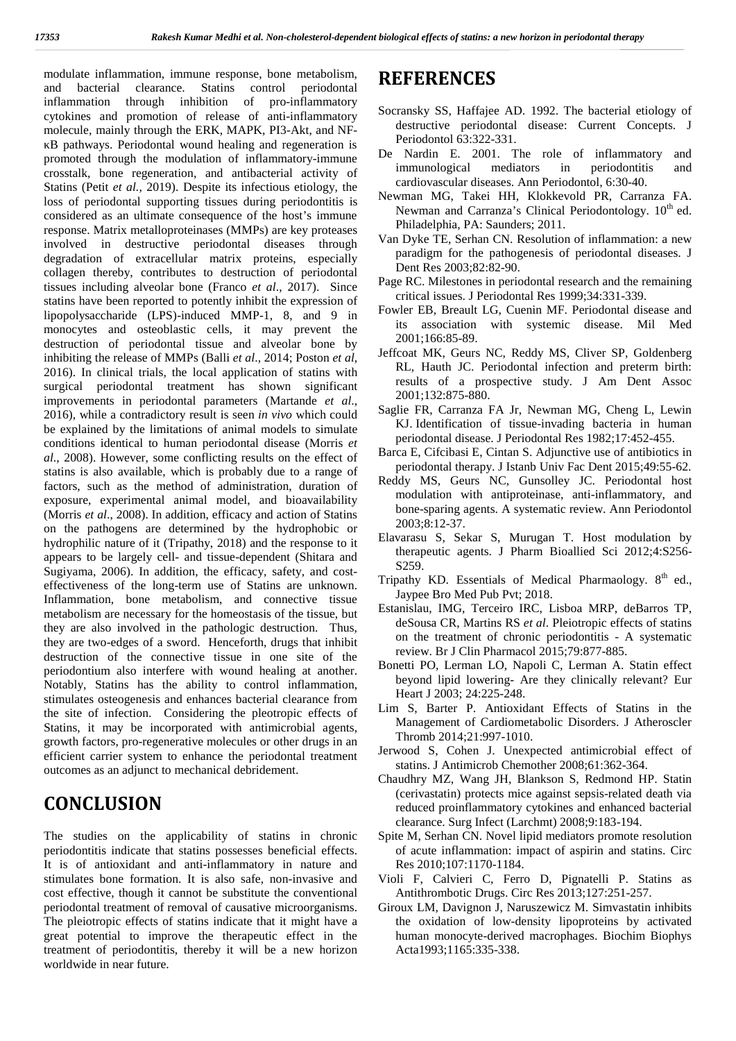modulate inflammation, immune response, bone metabolism, and bacterial clearance. Statins control periodontal inflammation through inhibition of pro-inflammatory cytokines and promotion of release of anti-inflammatory molecule, mainly through the ERK, MAPK, PI3-Akt, and NF- B pathways. Periodontal wound healing and regeneration is promoted through the modulation of inflammatory-immune crosstalk, bone regeneration, and antibacterial activity of Statins (Petit *et al.,* 2019). Despite its infectious etiology, the loss of periodontal supporting tissues during periodontitis is considered as an ultimate consequence of the host's immune response. Matrix metalloproteinases (MMPs) are key proteases involved in destructive periodontal diseases through degradation of extracellular matrix proteins, especially collagen thereby, contributes to destruction of periodontal tissues including alveolar bone (Franco *et al*., 2017). Since statins have been reported to potently inhibit the expression of lipopolysaccharide (LPS)-induced MMP-1, 8, and 9 in monocytes and osteoblastic cells, it may prevent the destruction of periodontal tissue and alveolar bone by inhibiting the release of MMPs (Balli *et al*., 2014; Poston *et al*, 2016). In clinical trials, the local application of statins with surgical periodontal treatment has shown significant improvements in periodontal parameters (Martande *et al*., 2016), while a contradictory result is seen *in vivo* which could be explained by the limitations of animal models to simulate conditions identical to human periodontal disease (Morris *et al*., 2008). However, some conflicting results on the effect of statins is also available, which is probably due to a range of factors, such as the method of administration, duration of exposure, experimental animal model, and bioavailability (Morris *et al*., 2008). In addition, efficacy and action of Statins on the pathogens are determined by the hydrophobic or hydrophilic nature of it (Tripathy, 2018) and the response to it appears to be largely cell- and tissue-dependent (Shitara and Sugiyama, 2006). In addition, the efficacy, safety, and cost effectiveness of the long-term use of Statins are unknown. Inflammation, bone metabolism, and connective tissue metabolism are necessary for the homeostasis of the tissue, but they are also involved in the pathologic destruction. Thus, they are two-edges of a sword. Henceforth, drugs that inhibit destruction of the connective tissue in one site of the periodontium also interfere with wound healing at another. Notably, Statins has the ability to control inflammation, stimulates osteogenesis and enhances bacterial clearance from the site of infection. Considering the pleotropic effects of Statins, it may be incorporated with antimicrobial agents, growth factors, pro-regenerative molecules or other drugs in an efficient carrier system to enhance the periodontal treatment outcomes as an adjunct to mechanical debridement.

## **CONCLUSION**

The studies on the applicability of statins in chronic periodontitis indicate that statins possesses beneficial effects. It is of antioxidant and anti-inflammatory in nature and stimulates bone formation. It is also safe, non-invasive and cost effective, though it cannot be substitute the conventional periodontal treatment of removal of causative microorganisms. The pleiotropic effects of statins indicate that it might have a great potential to improve the therapeutic effect in the treatment of periodontitis, thereby it will be a new horizon worldwide in near future.

### **REFERENCES**

- Socransky SS, Haffajee AD. 1992. The bacterial etiology of destructive periodontal disease: Current Concepts. J Periodontol 63:322-331.
- De Nardin E. 2001. The role of inflammatory and immunological mediators in periodontitis and immunological mediators in periodontitis and cardiovascular diseases. Ann Periodontol*,* 6:30-40.
- Newman MG, Takei HH, Klokkevold PR, Carranza FA. Newman and Carranza's Clinical Periodontology. 10<sup>th</sup> ed. Philadelphia, PA: Saunders; 2011.
- Van Dyke TE, Serhan CN. Resolution of inflammation: a new paradigm for the pathogenesis of periodontal diseases. J Dent Res 2003;82:82-90.
- Page RC. Milestones in periodontal research and the remaining critical issues. J Periodontal Res 1999;34:331-339.
- Fowler EB, Breault LG, Cuenin MF. Periodontal disease and its association with systemic disease. Mil Med 2001;166:85-89.
- Jeffcoat MK, Geurs NC, Reddy MS, Cliver SP, Goldenberg RL, Hauth JC. Periodontal infection and preterm birth: results of a prospective study. J Am Dent Assoc 2001;132:875-880.
- Saglie FR, Carranza FA Jr, Newman MG, Cheng L, Lewin KJ. Identification of tissue-invading bacteria in human periodontal disease. J Periodontal Res 1982;17:452-455.
- Barca E, Cifcibasi E, Cintan S. Adjunctive use of antibiotics in periodontal therapy. J Istanb Univ Fac Dent 2015;49:55-62.
- Reddy MS, Geurs NC, Gunsolley JC. Periodontal host modulation with antiproteinase, anti-inflammatory, and bone-sparing agents. A systematic review. Ann Periodontol 2003;8:12-37.
- Elavarasu S, Sekar S, Murugan T. Host modulation by therapeutic agents. J Pharm Bioallied Sci 2012;4:S256- S259.
- Tripathy KD. Essentials of Medical Pharmaology.  $8<sup>th</sup>$  ed., Jaypee Bro Med Pub Pvt; 2018.
- Estanislau, IMG, Terceiro IRC, Lisboa MRP, deBarros TP, deSousa CR, Martins RS *et al*. Pleiotropic effects of statins on the treatment of chronic periodontitis - A systematic review. Br J Clin Pharmacol 2015;79:877-885.
- Bonetti PO, Lerman LO, Napoli C, Lerman A. Statin effect beyond lipid lowering- Are they clinically relevant? Eur Heart J 2003; 24:225-248.
- Lim S, Barter P. Antioxidant Effects of Statins in the Management of Cardiometabolic Disorders. J Atheroscler Thromb 2014;21:997-1010.
- Jerwood S, Cohen J. Unexpected antimicrobial effect of statins. J Antimicrob Chemother 2008;61:362-364.
- Chaudhry MZ, Wang JH, Blankson S, Redmond HP. Statin (cerivastatin) protects mice against sepsis-related death via reduced proinflammatory cytokines and enhanced bacterial clearance. Surg Infect (Larchmt) 2008;9:183-194.
- Spite M, Serhan CN. Novel lipid mediators promote resolution of acute inflammation: impact of aspirin and statins. Circ Res 2010;107:1170-1184.
- Violi F, Calvieri C, Ferro D, Pignatelli P. Statins as Antithrombotic Drugs. Circ Res 2013;127:251-257.
- Giroux LM, Davignon J, Naruszewicz M. Simvastatin inhibits the oxidation of low-density lipoproteins by activated human monocyte-derived macrophages. Biochim Biophys Acta1993;1165:335-338.